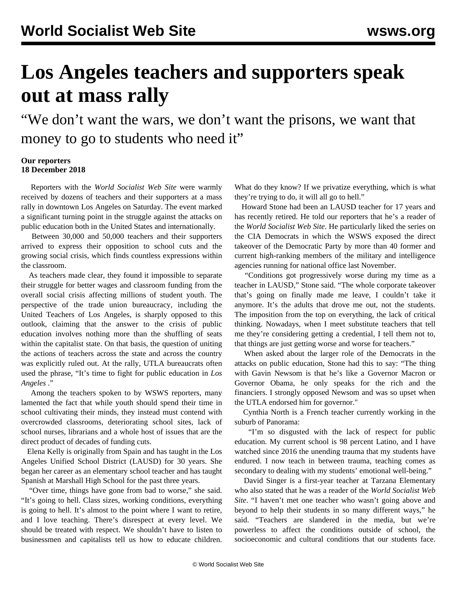## **Los Angeles teachers and supporters speak out at mass rally**

"We don't want the wars, we don't want the prisons, we want that money to go to students who need it"

## **Our reporters 18 December 2018**

 Reporters with the *World Socialist Web Site* were warmly received by dozens of teachers and their supporters at a [mass](/en/articles/2018/12/17/teac-d17.html) [rally](/en/articles/2018/12/17/teac-d17.html) in downtown Los Angeles on Saturday. The event marked a significant turning point in the struggle against the attacks on public education both in the United States and internationally.

 Between 30,000 and 50,000 teachers and their supporters arrived to express their opposition to school cuts and the growing social crisis, which finds countless expressions within the classroom.

 As teachers made clear, they found it impossible to separate their struggle for better wages and classroom funding from the overall social crisis affecting millions of student youth. The perspective of the trade union bureaucracy, including the United Teachers of Los Angeles, is sharply opposed to this outlook, claiming that the answer to the crisis of public education involves nothing more than the shuffling of seats within the capitalist state. On that basis, the question of uniting the actions of teachers across the state and across the country was explicitly ruled out. At the rally, UTLA bureaucrats often used the phrase, "It's time to fight for public education in *Los Angeles* ."

 Among the teachers spoken to by WSWS reporters, many lamented the fact that while youth should spend their time in school cultivating their minds, they instead must contend with overcrowded classrooms, deteriorating school sites, lack of school nurses, librarians and a whole host of issues that are the direct product of decades of funding cuts.

 Elena Kelly is originally from Spain and has taught in the Los Angeles Unified School District (LAUSD) for 30 years. She began her career as an elementary school teacher and has taught Spanish at Marshall High School for the past three years.

 "Over time, things have gone from bad to worse," she said. "It's going to hell. Class sizes, working conditions, everything is going to hell. It's almost to the point where I want to retire, and I love teaching. There's disrespect at every level. We should be treated with respect. We shouldn't have to listen to businessmen and capitalists tell us how to educate children.

What do they know? If we privatize everything, which is what they're trying to do, it will all go to hell."

 Howard Stone had been an LAUSD teacher for 17 years and has recently retired. He told our reporters that he's a reader of the *World Socialist Web Site*. He particularly liked the series on the CIA Democrats in which the WSWS exposed the direct takeover of the Democratic Party by more than 40 former and current high-ranking members of the military and intelligence agencies running for national office last November.

 "Conditions got progressively worse during my time as a teacher in LAUSD," Stone said. "The whole corporate takeover that's going on finally made me leave, I couldn't take it anymore. It's the adults that drove me out, not the students. The imposition from the top on everything, the lack of critical thinking. Nowadays, when I meet substitute teachers that tell me they're considering getting a credential, I tell them not to, that things are just getting worse and worse for teachers."

 When asked about the larger role of the Democrats in the attacks on public education, Stone had this to say: "The thing with Gavin Newsom is that he's like a Governor Macron or Governor Obama, he only speaks for the rich and the financiers. I strongly opposed Newsom and was so upset when the UTLA endorsed him for governor."

 Cynthia North is a French teacher currently working in the suburb of Panorama:

 "I'm so disgusted with the lack of respect for public education. My current school is 98 percent Latino, and I have watched since 2016 the unending trauma that my students have endured. I now teach in between trauma, teaching comes as secondary to dealing with my students' emotional well-being."

 David Singer is a first-year teacher at Tarzana Elementary who also stated that he was a reader of the *World Socialist Web Site*. "I haven't met one teacher who wasn't going above and beyond to help their students in so many different ways," he said. "Teachers are slandered in the media, but we're powerless to affect the conditions outside of school, the socioeconomic and cultural conditions that our students face.